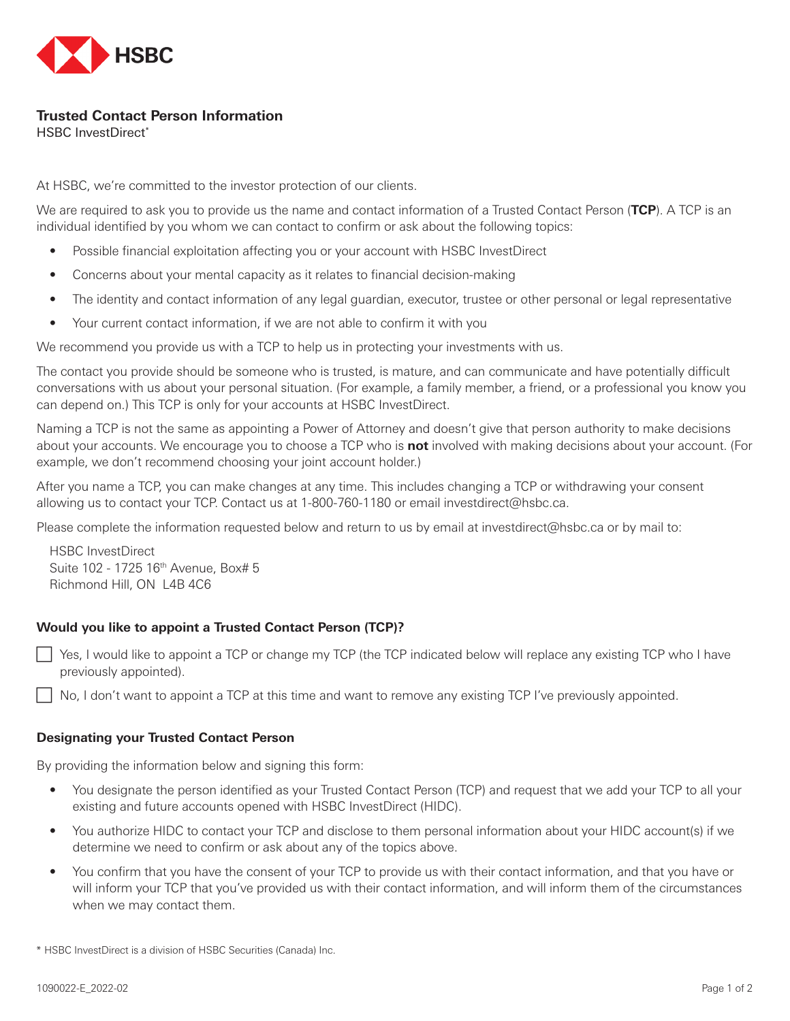

## **Trusted Contact Person Information**

HSBC InvestDirect\*

At HSBC, we're committed to the investor protection of our clients.

We are required to ask you to provide us the name and contact information of a Trusted Contact Person (**TCP**). A TCP is an individual identified by you whom we can contact to confirm or ask about the following topics:

- Possible financial exploitation affecting you or your account with HSBC InvestDirect
- Concerns about your mental capacity as it relates to financial decision-making
- The identity and contact information of any legal guardian, executor, trustee or other personal or legal representative
- Your current contact information, if we are not able to confirm it with you

We recommend you provide us with a TCP to help us in protecting your investments with us.

The contact you provide should be someone who is trusted, is mature, and can communicate and have potentially difficult conversations with us about your personal situation. (For example, a family member, a friend, or a professional you know you can depend on.) This TCP is only for your accounts at HSBC InvestDirect.

Naming a TCP is not the same as appointing a Power of Attorney and doesn't give that person authority to make decisions about your accounts. We encourage you to choose a TCP who is **not** involved with making decisions about your account. (For example, we don't recommend choosing your joint account holder.)

After you name a TCP, you can make changes at any time. This includes changing a TCP or withdrawing your consent allowing us to contact your TCP. Contact us at 1-800-760-1180 or email investdirect@hsbc.ca.

Please complete the information requested below and return to us by email at investdirect@hsbc.ca or by mail to:

HSBC InvestDirect Suite 102 - 1725 16<sup>th</sup> Avenue, Box# 5 Richmond Hill, ON L4B 4C6

## **Would you like to appoint a Trusted Contact Person (TCP)?**

F Yes, I would like to appoint a TCP or change my TCP (the TCP indicated below will replace any existing TCP who I have previously appointed).

No, I don't want to appoint a TCP at this time and want to remove any existing TCP I've previously appointed.

## **Designating your Trusted Contact Person**

By providing the information below and signing this form:

- You designate the person identified as your Trusted Contact Person (TCP) and request that we add your TCP to all your existing and future accounts opened with HSBC InvestDirect (HIDC).
- You authorize HIDC to contact your TCP and disclose to them personal information about your HIDC account(s) if we determine we need to confirm or ask about any of the topics above.
- You confirm that you have the consent of your TCP to provide us with their contact information, and that you have or will inform your TCP that you've provided us with their contact information, and will inform them of the circumstances when we may contact them.

\* HSBC InvestDirect is a division of HSBC Securities (Canada) Inc.